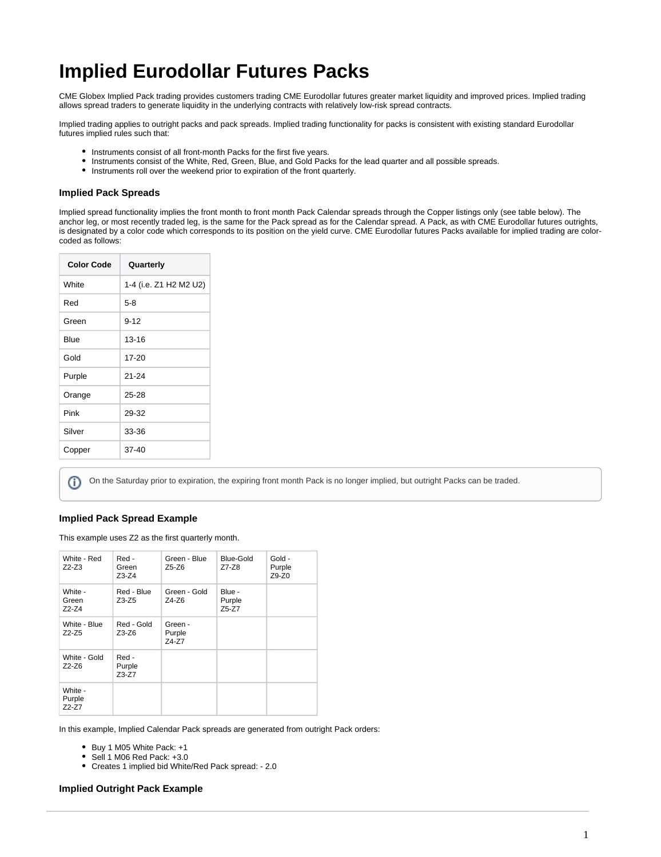## **Implied Eurodollar Futures Packs**

CME Globex Implied Pack trading provides customers trading CME Eurodollar futures greater market liquidity and improved prices. Implied trading allows spread traders to generate liquidity in the underlying contracts with relatively low-risk spread contracts.

Implied trading applies to outright packs and pack spreads. Implied trading functionality for packs is consistent with existing standard Eurodollar futures implied rules such that:

- Instruments consist of all front-month Packs for the first five years.
- Instruments consist of the White, Red, Green, Blue, and Gold Packs for the lead quarter and all possible spreads.
- Instruments roll over the weekend prior to expiration of the front quarterly.

## **Implied Pack Spreads**

Implied spread functionality implies the front month to front month Pack Calendar spreads through the Copper listings only (see table below). The anchor leg, or most recently traded leg, is the same for the Pack spread as for the Calendar spread. A Pack, as with CME Eurodollar futures outrights, is designated by a color code which corresponds to its position on the yield curve. CME Eurodollar futures Packs available for implied trading are colorcoded as follows:

| <b>Color Code</b> | Quarterly              |  |  |
|-------------------|------------------------|--|--|
| White             | 1-4 (i.e. Z1 H2 M2 U2) |  |  |
| Red               | $5-8$                  |  |  |
| Green             | $9 - 12$               |  |  |
| Blue              | 13-16                  |  |  |
| Gold              | 17-20                  |  |  |
| Purple            | $21 - 24$              |  |  |
| Orange            | $25 - 28$              |  |  |
| Pink              | 29-32                  |  |  |
| Silver            | 33-36                  |  |  |
| Copper            | $37 - 40$              |  |  |
|                   |                        |  |  |

On the Saturday prior to expiration, the expiring front month Pack is no longer implied, but outright Packs can be traded.G)

## **Implied Pack Spread Example**

This example uses Z2 as the first quarterly month.

| White - Red<br>$Z2-Z3$       | Red -<br>Green<br>$Z3-Z4$  | Green - Blue<br>Z5-Z6      | Blue-Gold<br>Z7-Z8        | Gold -<br>Purple<br>$Z9-Z0$ |
|------------------------------|----------------------------|----------------------------|---------------------------|-----------------------------|
| White -<br>Green<br>$Z2-Z4$  | Red - Blue<br>Z3-Z5        | Green - Gold<br>Z4-Z6      | Blue -<br>Purple<br>Z5-Z7 |                             |
| White - Blue<br>$Z2-Z5$      | Red - Gold<br>Z3-Z6        | Green -<br>Purple<br>Z4-Z7 |                           |                             |
| White - Gold<br>$Z2-Z6$      | Red -<br>Purple<br>$Z3-Z7$ |                            |                           |                             |
| White -<br>Purple<br>$Z2-Z7$ |                            |                            |                           |                             |

In this example, Implied Calendar Pack spreads are generated from outright Pack orders:

- Buy 1 M05 White Pack: +1
- Sell 1 M06 Red Pack: +3.0
- Creates 1 implied bid White/Red Pack spread: 2.0

## **Implied Outright Pack Example**